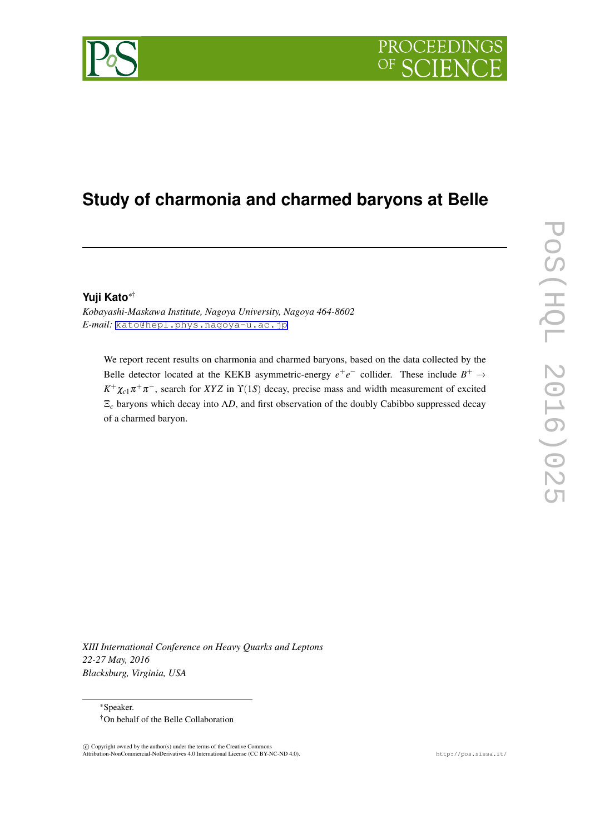

# **Study of charmonia and charmed baryons at Belle**

#### **Yuji Kato***∗*†

*Kobayashi-Maskawa Institute, Nagoya University, Nagoya 464-8602 E-mail:* [kato@hepl.phys.nagoya-u.ac.jp](mailto:kato@hepl.phys.nagoya-u.ac.jp)

We report recent results on charmonia and charmed baryons, based on the data collected by the Belle detector located at the KEKB asymmetric-energy  $e^+e^-$  collider. These include  $B^+ \to$  $K^+\chi_{c1}\pi^+\pi^-$ , search for *XYZ* in  $\Upsilon(1S)$  decay, precise mass and width measurement of excited Ξ*<sup>c</sup>* baryons which decay into Λ*D*, and first observation of the doubly Cabibbo suppressed decay of a charmed baryon.

*XIII International Conference on Heavy Quarks and Leptons 22-27 May, 2016 Blacksburg, Virginia, USA*

*∗*Speaker. †On behalf of the Belle Collaboration

 $\circled{c}$  Copyright owned by the author(s) under the terms of the Creative Common Attribution-NonCommercial-NoDerivatives 4.0 International License (CC BY-NC-ND 4.0). http://pos.sissa.it/

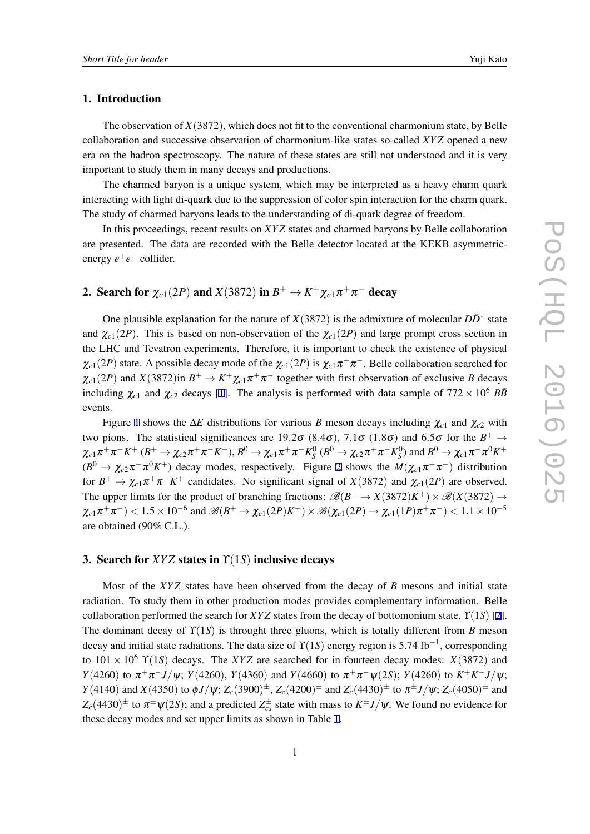#### 1. Introduction

The observation of *X*(3872), which does not fit to the conventional charmonium state, by Belle collaboration and successive observation of charmonium-like states so-called *XY Z* opened a new era on the hadron spectroscopy. The nature of these states are still not understood and it is very important to study them in many decays and productions.

The charmed baryon is a unique system, which may be interpreted as a heavy charm quark interacting with light di-quark due to the suppression of color spin interaction for the charm quark. The study of charmed baryons leads to the understanding of di-quark degree of freedom.

In this proceedings, recent results on *XY Z* states and charmed baryons by Belle collaboration are presented. The data are recorded with the Belle detector located at the KEKB asymmetricenergy *e* +*e −* collider.

## 2. Search for  $\chi_{c1}(2P)$  and  $X(3872)$  in  $B^+ \to K^+ \chi_{c1} \pi^+ \pi^-$  decay

One plausible explanation for the nature of  $X(3872)$  is the admixture of molecular  $D\bar{D}^*$  state and  $\chi_{c1}(2P)$ . This is based on non-observation of the  $\chi_{c1}(2P)$  and large prompt cross section in the LHC and Tevatron experiments. Therefore, it is important to check the existence of physical  $\chi_{c1}(2P)$  state. A possible decay mode of the  $\chi_{c1}(2P)$  is  $\chi_{c1}\pi^+\pi^-$ . Belle collaboration searched for  $\chi_{c1}(2P)$  and  $X(3872)$  in  $B^+ \to K^+ \chi_{c1} \pi^+ \pi^-$  together with first observation of exclusive *B* decays including  $\chi_{c1}$  $\chi_{c1}$  $\chi_{c1}$  and  $\chi_{c2}$  decays [1]. The analysis is performed with data sample of  $772 \times 10^6$  *BB* events.

Figure [1](#page-2-0) shows the ∆*E* distributions for various *B* meson decays including <sup>χ</sup>*c*<sup>1</sup> and <sup>χ</sup>*c*<sup>2</sup> with two pions. The statistical significances are 19.2 $\sigma$  (8.4 $\sigma$ ), 7.1 $\sigma$  (1.8 $\sigma$ ) and 6.5 $\sigma$  for the  $B^+ \to \infty$  $\chi_{c1}\pi^+\pi^-K^+$  ( $B^+\to \chi_{c2}\pi^+\pi^-K^+,$   $B^0\to \chi_{c1}\pi^+\pi^-K^0_S$  ( $B^0\to \chi_{c2}\pi^+\pi^-K^0_S$ ) and  $B^0\to \chi_{c1}\pi^-\pi^0K^+$  $(B^0 \to \chi_{c2}\pi^-\pi^0 K^+)$  $(B^0 \to \chi_{c2}\pi^-\pi^0 K^+)$  $(B^0 \to \chi_{c2}\pi^-\pi^0 K^+)$  decay modes, respectively. Figure 2 shows the  $M(\chi_{c1}\pi^+\pi^-)$  distribution for  $B^+ \to \chi_{c1} \pi^+ \pi^- K^+$  candidates. No significant signal of *X*(3872) and  $\chi_{c1}(2P)$  are observed. The upper limits for the product of branching fractions:  $\mathscr{B}(B^+ \to X(3872)K^+) \times \mathscr{B}(X(3872) \to Y(3872)K^+)$  $\chi_{c1}\pi^+\pi^-) < 1.5\times 10^{-6}$  and  $\mathscr{B}(B^+\to \chi_{c1}(2P)K^+) \times \mathscr{B}(\chi_{c1}(2P)\to \chi_{c1}(1P)\pi^+\pi^-) < 1.1\times 10^{-5}$ are obtained (90% C.L.).

#### 3. Search for *XYZ* states in  $\Upsilon(1S)$  inclusive decays

Most of the *XYZ* states have been observed from the decay of *B* mesons and initial state radiation. To study them in other production modes provides complementary information. Belle collaboration performed the search for *XY Z* states from the decay of bottomonium state, ϒ(1*S*) [\[2\]](#page-6-0). The dominant decay of  $\Upsilon(1S)$  is throught three gluons, which is totally different from *B* meson decay and initial state radiations. The data size of ϒ(1*S*) energy region is 5.74 fb*−*<sup>1</sup> , corresponding to  $101 \times 10^6$   $\Upsilon(15)$  decays. The *XYZ* are searched for in fourteen decay modes: *X*(3872) and *Y*(4260) to  $\pi^{+}\pi^{-}J/\psi$ ; *Y*(4260), *Y*(4360) and *Y*(4660) to  $\pi^{+}\pi^{-}\psi$ (2*S*); *Y*(4260) to *K*<sup>+</sup>*K*<sup>-</sup>*J*/ $\psi$ ;  $Y(4140)$  and  $X(4350)$  to  $\phi J/\psi$ ;  $Z_c(3900)^{\pm}$ ,  $Z_c(4200)^{\pm}$  and  $Z_c(4430)^{\pm}$  to  $\pi^{\pm} J/\psi$ ;  $Z_c(4050)^{\pm}$  and  $Z_c(4430)^\pm$  to  $\pi^\pm \psi(2S)$ ; and a predicted  $Z_{cs}^\pm$  state with mass to  $K^\pm J/\psi$ . We found no evidence for these decay modes and set upper limits as shown in Table [1](#page-3-0).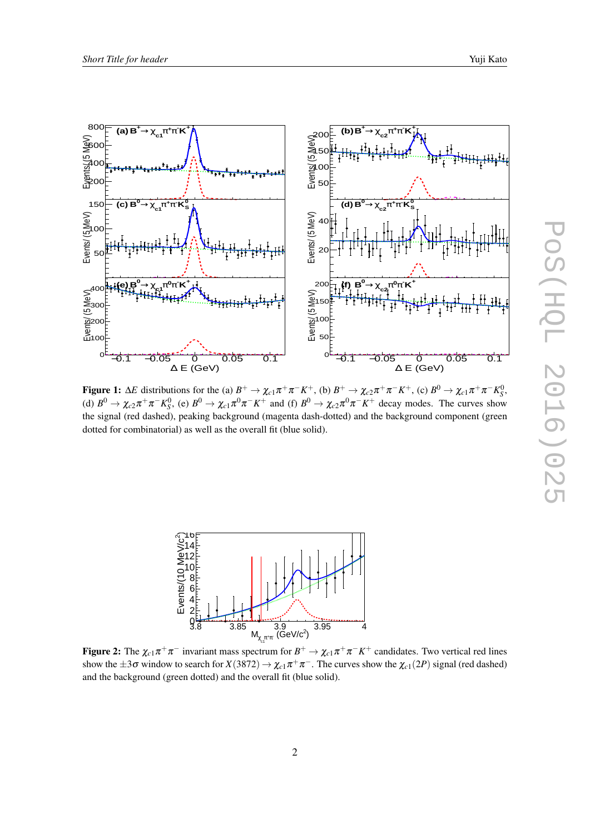<span id="page-2-0"></span>

**Figure 1:**  $\Delta E$  distributions for the (a)  $B^+ \to \chi_{c1} \pi^+ \pi^- K^+$ , (b)  $B^+ \to \chi_{c2} \pi^+ \pi^- K^+$ , (c)  $B^0 \to \chi_{c1} \pi^+ \pi^- K^0_S$ , (d)  $B^0 \to \chi_{c2}\pi^+\pi^-K^0_S$ , (e)  $B^0 \to \chi_{c1}\pi^0\pi^-K^+$  and (f)  $B^0 \to \chi_{c2}\pi^0\pi^-K^+$  decay modes. The curves show the signal (red dashed), peaking background (magenta dash-dotted) and the background component (green dotted for combinatorial) as well as the overall fit (blue solid).



Figure 2: The  $\chi_{c1}\pi^+\pi^-$  invariant mass spectrum for  $B^+\to \chi_{c1}\pi^+\pi^-K^+$  candidates. Two vertical red lines show the  $\pm 3\sigma$  window to search for  $X(3872) \to \chi_{c1}\pi^+\pi^-$ . The curves show the  $\chi_{c1}(2P)$  signal (red dashed) and the background (green dotted) and the overall fit (blue solid).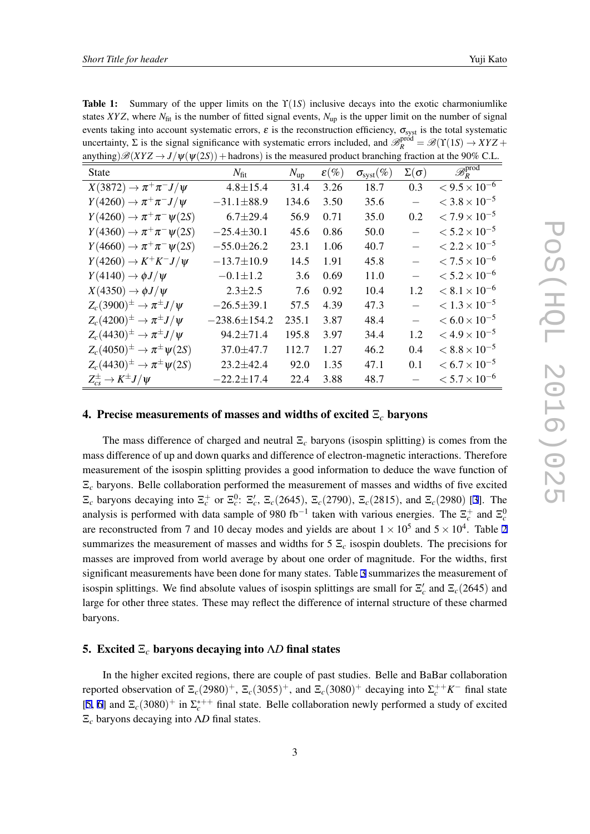<span id="page-3-0"></span>**Table 1:** Summary of the upper limits on the  $\Upsilon(1S)$  inclusive decays into the exotic charmoniumlike states *XYZ*, where  $N_{\text{fit}}$  is the number of fitted signal events,  $N_{\text{up}}$  is the upper limit on the number of signal events taking into account systematic errors,  $\varepsilon$  is the reconstruction efficiency,  $\sigma_{syst}$  is the total systematic uncertainty,  $\Sigma$  is the signal significance with systematic errors included, and  $\mathcal{B}_R^{\text{prod}} = \mathcal{B}(\Upsilon(1S) \to XYZ +$ anything) $\mathscr{B}(XYZ \to J/\psi(\psi(2S))$  + hadrons) is the measured product branching fraction at the 90% C.I.

| <b>State</b>                                    | $N_{\rm fit}$      | $N_{\rm up}$ | $\varepsilon(\%)$ | $\sigma_{\text{syst}}(\%)$ | $\Sigma(\sigma)$         | $\overline{\mathscr{B}^{\mathrm{prod}}_{R}}$ |
|-------------------------------------------------|--------------------|--------------|-------------------|----------------------------|--------------------------|----------------------------------------------|
| $X(3872) \rightarrow \pi^+\pi^-J/\psi$          | $4.8 \pm 15.4$     | 31.4         | 3.26              | 18.7                       | 0.3                      | $< 9.5 \times 10^{-6}$                       |
| $Y(4260) \rightarrow \pi^+\pi^-J/\psi$          | $-31.1 \pm 88.9$   | 134.6        | 3.50              | 35.6                       |                          | $<$ 3.8 $\times$ 10 <sup>-5</sup>            |
| $Y(4260) \rightarrow \pi^+\pi^-\psi(2S)$        | $6.7 \pm 29.4$     | 56.9         | 0.71              | 35.0                       | 0.2                      | $< 7.9 \times 10^{-5}$                       |
| $Y(4360) \rightarrow \pi^+\pi^-\psi(2S)$        | $-25.4 \pm 30.1$   | 45.6         | 0.86              | 50.0                       |                          | $< 5.2 \times 10^{-5}$                       |
| $Y(4660) \rightarrow \pi^+\pi^-\psi(2S)$        | $-55.0 \pm 26.2$   | 23.1         | 1.06              | 40.7                       |                          | $< 2.2 \times 10^{-5}$                       |
| $Y(4260) \rightarrow K^+K^-J/\psi$              | $-13.7 \pm 10.9$   | 14.5         | 1.91              | 45.8                       |                          | $< 7.5 \times 10^{-6}$                       |
| $Y(4140) \rightarrow \phi J/\psi$               | $-0.1 \pm 1.2$     | 3.6          | 0.69              | 11.0                       |                          | $< 5.2 \times 10^{-6}$                       |
| $X(4350) \rightarrow \phi J/\psi$               | $2.3 \pm 2.5$      | 7.6          | 0.92              | 10.4                       | 1.2                      | $< 8.1 \times 10^{-6}$                       |
| $Z_c(3900)^{\pm} \rightarrow \pi^{\pm} J/\psi$  | $-26.5 \pm 39.1$   | 57.5         | 4.39              | 47.3                       | $\overline{\phantom{0}}$ | $< 1.3 \times 10^{-5}$                       |
| $Z_c(4200)^{\pm} \rightarrow \pi^{\pm} J/\psi$  | $-238.6 \pm 154.2$ | 235.1        | 3.87              | 48.4                       |                          | $< 6.0 \times 10^{-5}$                       |
| $Z_c(4430)^{\pm} \rightarrow \pi^{\pm} J/\psi$  | $94.2 \pm 71.4$    | 195.8        | 3.97              | 34.4                       | 1.2                      | $<$ 4.9 $\times$ 10 <sup>-5</sup>            |
| $Z_c(4050)^{\pm} \to \pi^{\pm} \psi(2S)$        | 37.0±47.7          | 112.7        | 1.27              | 46.2                       | 0.4                      | $< 8.8 \times 10^{-5}$                       |
| $Z_c(4430)^{\pm} \rightarrow \pi^{\pm}\psi(2S)$ | $23.2 \pm 42.4$    | 92.0         | 1.35              | 47.1                       | 0.1                      | $< 6.7 \times 10^{-5}$                       |
| $Z_{cs}^{\pm} \rightarrow K^{\pm} J/\psi$       | $-22.2 \pm 17.4$   | 22.4         | 3.88              | 48.7                       |                          | $< 5.7 \times 10^{-6}$                       |

#### 4. Precise measurements of masses and widths of excited Ξ*<sup>c</sup>* baryons

The mass difference of charged and neutral Ξ*<sup>c</sup>* baryons (isospin splitting) is comes from the mass difference of up and down quarks and difference of electron-magnetic interactions. Therefore measurement of the isospin splitting provides a good information to deduce the wave function of Ξ*<sup>c</sup>* baryons. Belle collaboration performed the measurement of masses and widths of five excited  $\Xi_c$  baryons decaying into  $\Xi_c^+$  or  $\Xi_c^0$ :  $\Xi_c$ ,  $\Xi_c$ (2645),  $\Xi_c$ (2790),  $\Xi_c$ (2815), and  $\Xi_c$ (2980) [\[3\]](#page-6-0). The analysis is performed with data sample of 980 fb<sup>-1</sup> taken with various energies. The  $\Xi_c^+$  and  $\Xi_c^0$ are reconstructed from 7 and 10 decay modes and yields are about  $1 \times 10^5$  and  $5 \times 10^4$ . Table [2](#page-4-0) summarizes the measurement of masses and widths for  $5\ \text{E}_c$  isospin doublets. The precisions for masses are improved from world average by about one order of magnitude. For the widths, first significant measurements have been done for many states. Table [3](#page-4-0) summarizes the measurement of isospin splittings. We find absolute values of isospin splittings are small for  $\Xi_c'$  and  $\Xi_c(2645)$  and large for other three states. These may reflect the difference of internal structure of these charmed baryons.

#### 5. Excited Ξ*<sup>c</sup>* baryons decaying into Λ*D* final states

In the higher excited regions, there are couple of past studies. Belle and BaBar collaboration reported observation of  $\Xi_c(2980)^+$ ,  $\Xi_c(3055)^+$ , and  $\Xi_c(3080)^+$  decaying into  $\Sigma_c^{++}K^-$  final state [[5](#page-6-0), [6\]](#page-6-0) and  $\Xi_c(3080)^+$  in  $\Sigma_c^{*++}$  final state. Belle collaboration newly performed a study of excited Ξ*<sup>c</sup>* baryons decaying into Λ*D* final states.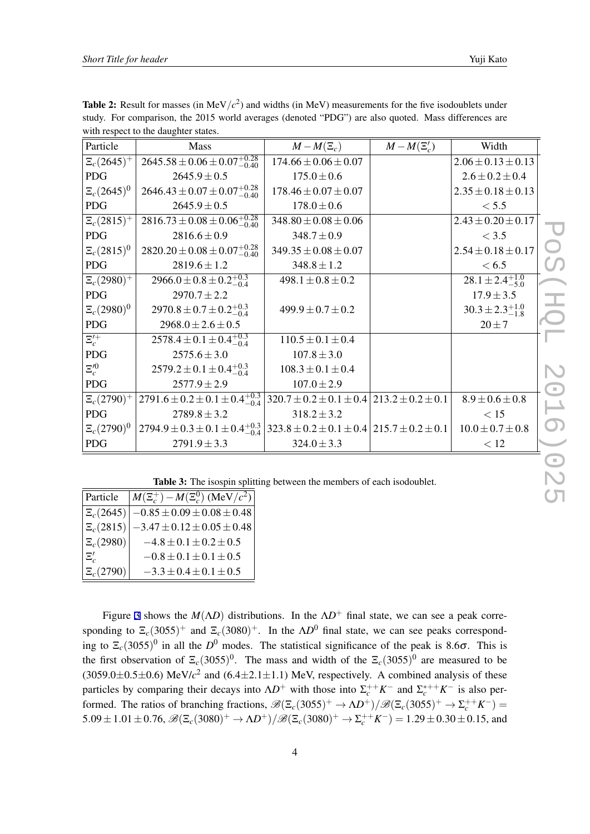| Particle                                                               | Mass                                           | $M-M(\Xi_c)$                                              | $M-M(\Xi'_c)$ | Width                        |              |  |
|------------------------------------------------------------------------|------------------------------------------------|-----------------------------------------------------------|---------------|------------------------------|--------------|--|
| $\Xi_c(2645)^+$                                                        | $2645.58 \pm 0.06 \pm 0.07^{+0.28}_{-0.40}$    | $174.66 \pm 0.06 \pm 0.07$                                |               | $2.06 \pm 0.13 \pm 0.13$     |              |  |
| <b>PDG</b>                                                             | $2645.9 \pm 0.5$                               | $175.0 \pm 0.6$                                           |               | $2.6 \pm 0.2 \pm 0.4$        |              |  |
| $\Xi_c(2645)^0$                                                        | $2646.43 \pm 0.07 \pm 0.07^{+0.28}_{-0.40}$    | $178.46 \pm 0.07 \pm 0.07$                                |               | $2.35 \pm 0.18 \pm 0.13$     |              |  |
| <b>PDG</b>                                                             | $2645.9 \pm 0.5$                               | $178.0 \pm 0.6$                                           |               | < 5.5                        |              |  |
| $\Xi_c(2815)^+$                                                        | $2816.73 \pm 0.08 \pm 0.06_{-0.40}^{+0.28}$    | $348.80 \pm 0.08 \pm 0.06$                                |               | $2.43 \pm 0.20 \pm 0.17$     |              |  |
| <b>PDG</b>                                                             | $2816.6 \pm 0.9$                               | $348.7 \pm 0.9$                                           |               | < 3.5                        |              |  |
| $\Xi_c(2815)^0$                                                        | $2820.20 \pm 0.08 \pm 0.07^{+0.28}_{-0.40}$    | $349.35 \pm 0.08 \pm 0.07$                                |               | $2.54 \pm 0.18 \pm 0.17$     |              |  |
| <b>PDG</b>                                                             | $2819.6 \pm 1.2$                               | $348.8 \pm 1.2$                                           |               | < 6.5                        | $\Omega$     |  |
| $\Xi_c(2980)^+$                                                        | $2966.0 \pm 0.8 \pm 0.2_{-0.4}^{+0.3}$         | $498.1 \pm 0.8 \pm 0.2$                                   |               | $28.1 \pm 2.4^{+1.0}_{-5.0}$ |              |  |
| <b>PDG</b>                                                             | $2970.7 \pm 2.2$                               |                                                           |               | $17.9 \pm 3.5$               | 冨            |  |
| $E_c(2980)^0$                                                          | $2970.8 \pm 0.7 \pm 0.2_{-0.4}^{+0.3}$         | $499.9 \pm 0.7 \pm 0.2$                                   |               | $30.3 \pm 2.3_{-1.8}^{+1.0}$ |              |  |
| <b>PDG</b>                                                             | $2968.0 \pm 2.6 \pm 0.5$                       |                                                           |               | $20 \pm 7$                   |              |  |
| $\overline{\Xi_{c}^{\prime+}}$                                         | $2578.4 \pm 0.1 \pm 0.4_{-0.4}^{+0.3}$         | $110.5 \pm 0.1 \pm 0.4$                                   |               |                              |              |  |
| <b>PDG</b>                                                             | $2575.6 \pm 3.0$                               | $107.8 \pm 3.0$                                           |               |                              |              |  |
| $\Xi_{c}^{\prime 0}$                                                   | $2579.2 \pm 0.1 \pm 0.4_{-0.4}^{+0.3}$         | $108.3 \pm 0.1 \pm 0.4$                                   |               |                              | $\mathbf{C}$ |  |
| <b>PDG</b>                                                             | $2577.9 \pm 2.9$                               | $107.0 \pm 2.9$                                           |               |                              |              |  |
| $\Xi_c(2790)^+$                                                        | $2791.6 \pm 0.2 \pm 0.1 \pm 0.4_{-0.4}^{+0.3}$ | $320.7 \pm 0.2 \pm 0.1 \pm 0.4$ 213.2 $\pm$ 0.2 $\pm$ 0.1 |               | $8.9 \pm 0.6 \pm 0.8$        |              |  |
| <b>PDG</b>                                                             | $2789.8 \pm 3.2$                               | $318.2 \pm 3.2$                                           |               | < 15                         |              |  |
| $\Xi_c(2790)^0$                                                        | $2794.9 \pm 0.3 \pm 0.1 \pm 0.4_{-0.4}^{+0.3}$ | $323.8 \pm 0.2 \pm 0.1 \pm 0.4$ 215.7 $\pm 0.2 \pm 0.1$   |               | $10.0 \pm 0.7 \pm 0.8$       |              |  |
| PDG                                                                    | $2791.9 \pm 3.3$                               | $324.0 \pm 3.3$                                           |               | < 12                         |              |  |
|                                                                        |                                                |                                                           |               |                              |              |  |
| Table 3: The isospin splitting between the members of each isodoublet. |                                                |                                                           |               |                              |              |  |
| $M(\Xi_c^+) - M(\Xi_c^0)$ (MeV/ $c^2$ )<br>Particle                    |                                                |                                                           |               |                              |              |  |
|                                                                        |                                                |                                                           |               |                              |              |  |

<span id="page-4-0"></span>**Table 2:** Result for masses (in MeV $/c<sup>2</sup>$ ) and widths (in MeV) measurements for the five isodoublets under study. For comparison, the 2015 world averages (denoted "PDG") are also quoted. Mass differences are with respect to the daughter states.

Table 3: The isospin splitting between the members of each isodoublet.

| Particle                  | $M(\Xi_c^+) - M(\Xi_c^0)$ (MeV/ $c^2$ ) |
|---------------------------|-----------------------------------------|
| $\mathbb{E}_c(2645)$      | $-0.85 \pm 0.09 \pm 0.08 \pm 0.48$      |
| $\vert \Xi_c(2815) \vert$ | $-3.47 \pm 0.12 \pm 0.05 \pm 0.48$      |
| $\mathbb{E}_c(2980)$      | $-4.8 \pm 0.1 \pm 0.2 \pm 0.5$          |
| $\Xi_{c}^{\prime}$        | $-0.8 \pm 0.1 \pm 0.1 \pm 0.5$          |
| $\mathbb{E}_c(2790)$      | $-3.3 \pm 0.4 \pm 0.1 \pm 0.5$          |

Figure [3](#page-5-0) shows the  $M(\Lambda D)$  distributions. In the  $\Lambda D^+$  final state, we can see a peak corresponding to  $\Xi_c(3055)^+$  and  $\Xi_c(3080)^+$ . In the  $\Lambda D^0$  final state, we can see peaks corresponding to  $\mathbb{E}_c(3055)^0$  in all the  $D^0$  modes. The statistical significance of the peak is 8.6 $\sigma$ . This is the first observation of  $\mathbb{E}_c(3055)^0$ . The mass and width of the  $\mathbb{E}_c(3055)^0$  are measured to be  $(3059.0 \pm 0.5 \pm 0.6)$  MeV/ $c^2$  and  $(6.4 \pm 2.1 \pm 1.1)$  MeV, respectively. A combined analysis of these particles by comparing their decays into  $\Lambda D^+$  with those into  $\Sigma_c^{++} K^-$  and  $\Sigma_c^{*++} K^-$  is also performed. The ratios of branching fractions,  $\mathscr{B}(\Xi_c(3055)^+ \to \Lambda D^+)/\mathscr{B}(\Xi_c(3055)^+ \to \Sigma_c^{++} K^-)$ 5.09 ± 1.01 ± 0.76,  $\mathcal{B}(\Xi_c(3080)^+\to\Lambda D^+)/\mathcal{B}(\Xi_c(3080)^+\to\Sigma_c^{++}K^-)=1.29\pm0.30\pm0.15$ , and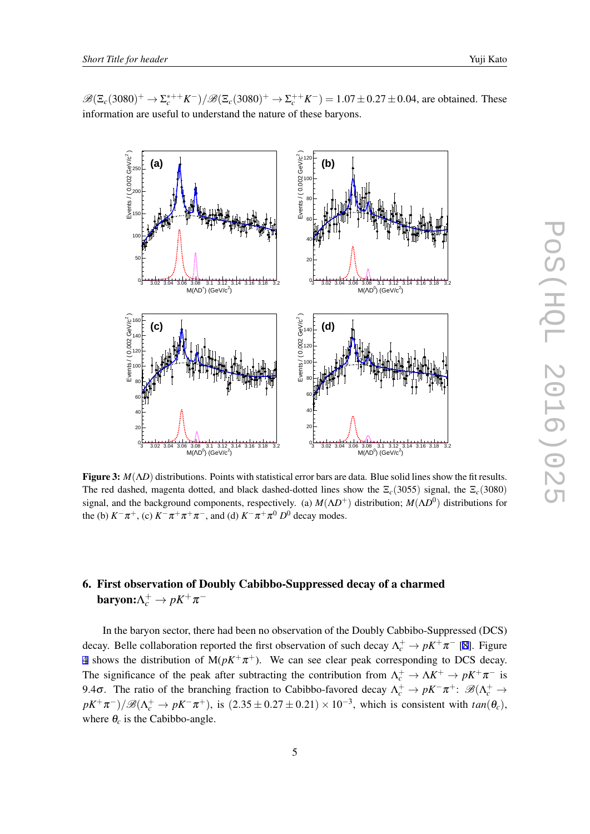

<span id="page-5-0"></span> $\mathscr{B}(\Xi_c(3080)^+ \to \Sigma_c^{*++} K^-)/\mathscr{B}(\Xi_c(3080)^+ \to \Sigma_c^{++} K^-) = 1.07 \pm 0.27 \pm 0.04$ , are obtained. These information are useful to understand the nature of these baryons.

Figure 3: *M*(Λ*D*) distributions. Points with statistical error bars are data. Blue solid lines show the fit results. The red dashed, magenta dotted, and black dashed-dotted lines show the  $\Xi_c(3055)$  signal, the  $\Xi_c(3080)$ signal, and the background components, respectively. (a) *M*(Λ*D* <sup>+</sup>) distribution; *M*(Λ*D* 0 ) distributions for the (b)  $K^-\pi^+$ , (c)  $K^-\pi^+\pi^+\pi^-$ , and (d)  $K^-\pi^+\pi^0 D^0$  decay modes.

### 6. First observation of Doubly Cabibbo-Suppressed decay of a charmed **baryon:** $\Lambda_c^+ \to pK^+\pi^-$

In the baryon sector, there had been no observation of the Doubly Cabbibo-Suppressed (DCS) decay. Belle collaboration reported the first observation of such decay  $\Lambda_c^+ \to pK^+\pi^-$  [\[8\]](#page-7-0). Figure [4](#page-6-0) shows the distribution of  $M(pK^+\pi^+)$ . We can see clear peak corresponding to DCS decay. The significance of the peak after subtracting the contribution from  $\Lambda_c^+ \to \Lambda K^+ \to pK^+\pi^-$  is 9.4σ. The ratio of the branching fraction to Cabibbo-favored decay  $\Lambda_c^+ \to pK^-\pi^+$ :  $\mathscr{B}(\Lambda_c^+ \to \Lambda_c^-)$  $pK^+\pi^-$ )/ $\mathscr{B}(\Lambda_c^+ \to pK^-\pi^+)$ , is  $(2.35 \pm 0.27 \pm 0.21) \times 10^{-3}$ , which is consistent with  $tan(\theta_c)$ , where  $\theta_c$  is the Cabibbo-angle.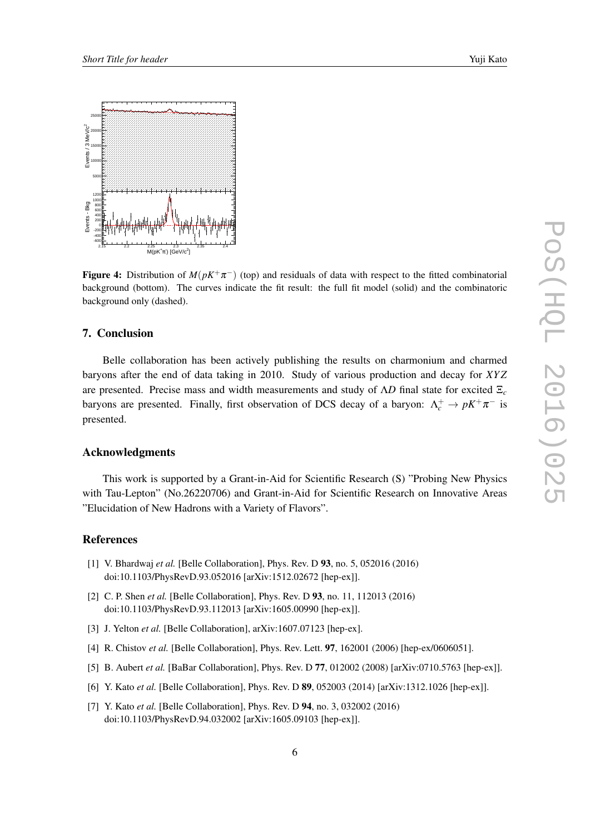<span id="page-6-0"></span>

Figure 4: Distribution of  $M(pK^+\pi^-)$  (top) and residuals of data with respect to the fitted combinatorial background (bottom). The curves indicate the fit result: the full fit model (solid) and the combinatoric background only (dashed).

#### 7. Conclusion

Belle collaboration has been actively publishing the results on charmonium and charmed baryons after the end of data taking in 2010. Study of various production and decay for *XY Z* are presented. Precise mass and width measurements and study of Λ*D* final state for excited Ξ*<sup>c</sup>* baryons are presented. Finally, first observation of DCS decay of a baryon:  $\Lambda_c^+ \to pK^+\pi^-$  is presented.

#### Acknowledgments

This work is supported by a Grant-in-Aid for Scientific Research (S) "Probing New Physics with Tau-Lepton" (No.26220706) and Grant-in-Aid for Scientific Research on Innovative Areas "Elucidation of New Hadrons with a Variety of Flavors".

#### References

- [1] V. Bhardwaj *et al.* [Belle Collaboration], Phys. Rev. D 93, no. 5, 052016 (2016) doi:10.1103/PhysRevD.93.052016 [arXiv:1512.02672 [hep-ex]].
- [2] C. P. Shen *et al.* [Belle Collaboration], Phys. Rev. D 93, no. 11, 112013 (2016) doi:10.1103/PhysRevD.93.112013 [arXiv:1605.00990 [hep-ex]].
- [3] J. Yelton *et al.* [Belle Collaboration], arXiv:1607.07123 [hep-ex].
- [4] R. Chistov *et al.* [Belle Collaboration], Phys. Rev. Lett. 97, 162001 (2006) [hep-ex/0606051].
- [5] B. Aubert *et al.* [BaBar Collaboration], Phys. Rev. D 77, 012002 (2008) [arXiv:0710.5763 [hep-ex]].
- [6] Y. Kato *et al.* [Belle Collaboration], Phys. Rev. D 89, 052003 (2014) [arXiv:1312.1026 [hep-ex]].
- [7] Y. Kato *et al.* [Belle Collaboration], Phys. Rev. D 94, no. 3, 032002 (2016) doi:10.1103/PhysRevD.94.032002 [arXiv:1605.09103 [hep-ex]].